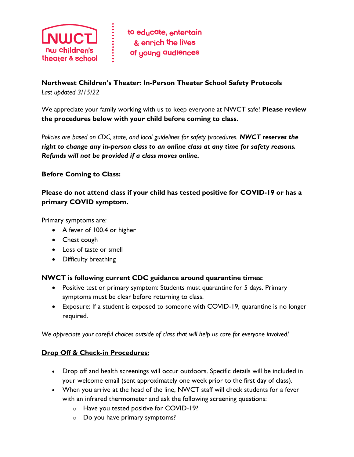

### **Northwest Children's Theater: In-Person Theater School Safety Protocols** *Last updated 3/15/22*

We appreciate your family working with us to keep everyone at NWCT safe! **Please review the procedures below with your child before coming to class.**

*Policies are based on CDC, state, and local guidelines for safety procedures. NWCT reserves the right to change any in-person class to an online class at any time for safety reasons. Refunds will not be provided if a class moves online.*

### **Before Coming to Class:**

**Please do not attend class if your child has tested positive for COVID-19 or has a primary COVID symptom.** 

Primary symptoms are:

- A fever of 100.4 or higher
- Chest cough
- Loss of taste or smell
- Difficulty breathing

### **NWCT is following current CDC guidance around quarantine times:**

- Positive test or primary symptom: Students must quarantine for 5 days. Primary symptoms must be clear before returning to class.
- Exposure: If a student is exposed to someone with COVID-19, quarantine is no longer required.

*We appreciate your careful choices outside of class that will help us care for everyone involved!*

### **Drop Off & Check-in Procedures:**

- Drop off and health screenings will occur outdoors. Specific details will be included in your welcome email (sent approximately one week prior to the first day of class).
- When you arrive at the head of the line, NWCT staff will check students for a fever with an infrared thermometer and ask the following screening questions:
	- o Have you tested positive for COVID-19?
	- o Do you have primary symptoms?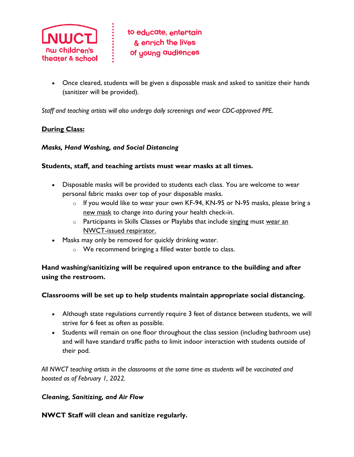

• Once cleared, students will be given a disposable mask and asked to sanitize their hands (sanitizer will be provided).

*Staff and teaching artists will also undergo daily screenings and wear CDC-approved PPE.*

#### **During Class:**

#### *Masks, Hand Washing, and Social Distancing*

#### **Students, staff, and teaching artists must wear masks at all times.**

- Disposable masks will be provided to students each class. You are welcome to wear personal fabric masks over top of your disposable masks.
	- o If you would like to wear your own KF-94, KN-95 or N-95 masks, please bring a new mask to change into during your health check-in.
	- $\circ$  Participants in Skills Classes or Playlabs that include singing must wear an NWCT-issued respirator.
- Masks may only be removed for quickly drinking water.
	- o We recommend bringing a filled water bottle to class.

### **Hand washing/sanitizing will be required upon entrance to the building and after using the restroom.**

#### **Classrooms will be set up to help students maintain appropriate social distancing.**

- Although state regulations currently require 3 feet of distance between students, we will strive for 6 feet as often as possible.
- Students will remain on one floor throughout the class session (including bathroom use) and will have standard traffic paths to limit indoor interaction with students outside of their pod.

*All NWCT teaching artists in the classrooms at the same time as students will be vaccinated and boosted as of February 1, 2022.* 

#### *Cleaning, Sanitizing, and Air Flow*

#### **NWCT Staff will clean and sanitize regularly.**